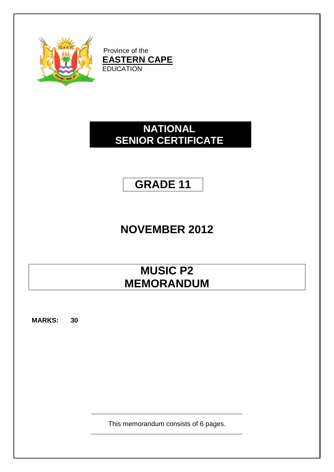

Province of the **EASTERN CAPE** EDUCATION

### **NATIONAL SENIOR CERTIFICATE**

### **GRADE 11**

# **NOVEMBER 2012**

# **MUSIC P2 MEMORANDUM**

**MARKS: 30**

This memorandum consists of 6 pages.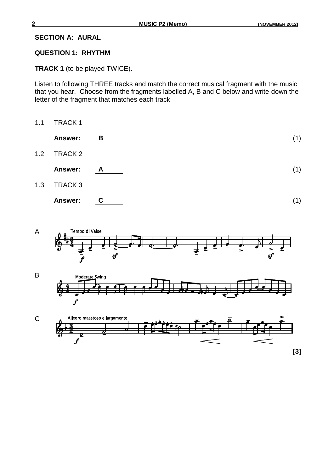#### **SECTION A: AURAL**

#### **QUESTION 1: RHYTHM**

**TRACK 1** (to be played TWICE).

Listen to following THREE tracks and match the correct musical fragment with the music that you hear. Choose from the fragments labelled A, B and C below and write down the letter of the fragment that matches each track

1.1 TRACK 1





1.3 TRACK 3

| <b>Answer:</b> |  |  |  |
|----------------|--|--|--|
|----------------|--|--|--|





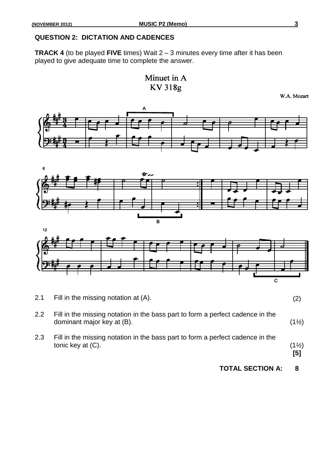#### **QUESTION 2: DICTATION AND CADENCES**

**TRACK 4** (to be played **FIVE** times) Wait 2 – 3 minutes every time after it has been played to give adequate time to complete the answer.

> Minuet in A KV 318g

> > W.A. Mozart







| 2.1 | Fill in the missing notation at (A). |  |
|-----|--------------------------------------|--|
|     |                                      |  |

2.2 Fill in the missing notation in the bass part to form a perfect cadence in the dominant major key at (B). (1*½*)

2.3 Fill in the missing notation in the bass part to form a perfect cadence in the tonic key at (C). (1*½*)

**[5]**

**TOTAL SECTION A: 8**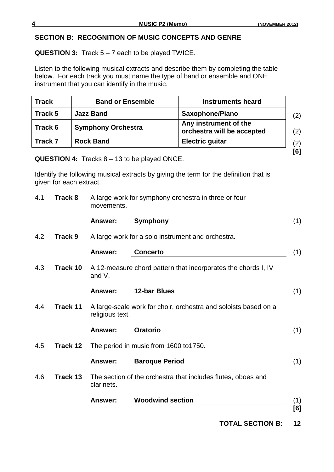#### **SECTION B: RECOGNITION OF MUSIC CONCEPTS AND GENRE**

### **QUESTION 3:** Track 5 – 7 each to be played TWICE.

Listen to the following musical extracts and describe them by completing the table below. For each track you must name the type of band or ensemble and ONE instrument that you can identify in the music.

| <b>Track</b> | <b>Band or Ensemble</b>   | <b>Instruments heard</b>                            |
|--------------|---------------------------|-----------------------------------------------------|
| Track 5      | <b>Jazz Band</b>          | <b>Saxophone/Piano</b>                              |
| Track 6      | <b>Symphony Orchestra</b> | Any instrument of the<br>orchestra will be accepted |
| Track 7      | <b>Rock Band</b>          | <b>Electric guitar</b>                              |
|              |                           |                                                     |

**QUESTION 4:** Tracks 8 – 13 to be played ONCE.

Identify the following musical extracts by giving the term for the definition that is given for each extract.

| 4.1<br>Track 8 |                 | movements.      | A large work for symphony orchestra in three or four            |
|----------------|-----------------|-----------------|-----------------------------------------------------------------|
|                |                 | <b>Answer:</b>  | Symphony                                                        |
| 4.2            | <b>Track 9</b>  |                 | A large work for a solo instrument and orchestra.               |
|                |                 | Answer:         | <b>Concerto</b>                                                 |
| 4.3            | Track 10        | and V.          | A 12-measure chord pattern that incorporates the chords I, IV   |
|                |                 | <b>Answer:</b>  | <b>12-bar Blues</b>                                             |
| 4.4            | <b>Track 11</b> | religious text. | A large-scale work for choir, orchestra and soloists based on a |
|                |                 | Answer:         | <b>Oratorio</b>                                                 |
| 4.5            | Track 12        |                 | The period in music from 1600 to 1750.                          |
|                |                 | <b>Answer:</b>  | <b>Baroque Period</b>                                           |
| 4.6            | Track 13        | clarinets.      | The section of the orchestra that includes flutes, oboes and    |
|                |                 | <b>Answer:</b>  | <b>Woodwind section</b>                                         |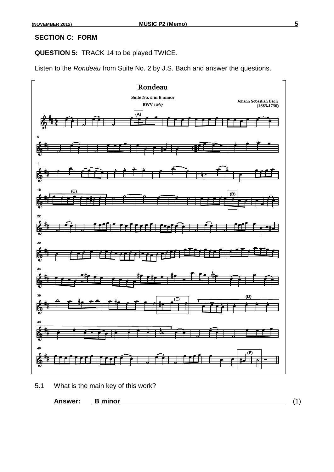#### **SECTION C: FORM**

**QUESTION 5:** TRACK 14 to be played TWICE.

Listen to the *Rondeau* from Suite No. 2 by J.S. Bach and answer the questions.